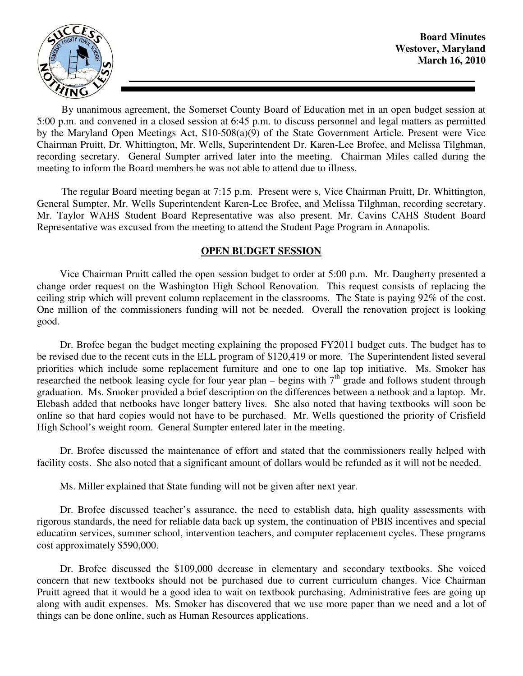

By unanimous agreement, the Somerset County Board of Education met in an open budget session at 5:00 p.m. and convened in a closed session at 6:45 p.m. to discuss personnel and legal matters as permitted by the Maryland Open Meetings Act, S10-508(a)(9) of the State Government Article. Present were Vice Chairman Pruitt, Dr. Whittington, Mr. Wells, Superintendent Dr. Karen-Lee Brofee, and Melissa Tilghman, recording secretary. General Sumpter arrived later into the meeting. Chairman Miles called during the meeting to inform the Board members he was not able to attend due to illness.

The regular Board meeting began at 7:15 p.m. Present were s, Vice Chairman Pruitt, Dr. Whittington, General Sumpter, Mr. Wells Superintendent Karen-Lee Brofee, and Melissa Tilghman, recording secretary. Mr. Taylor WAHS Student Board Representative was also present. Mr. Cavins CAHS Student Board Representative was excused from the meeting to attend the Student Page Program in Annapolis.

### **OPEN BUDGET SESSION**

 Vice Chairman Pruitt called the open session budget to order at 5:00 p.m. Mr. Daugherty presented a change order request on the Washington High School Renovation. This request consists of replacing the ceiling strip which will prevent column replacement in the classrooms. The State is paying 92% of the cost. One million of the commissioners funding will not be needed. Overall the renovation project is looking good.

 Dr. Brofee began the budget meeting explaining the proposed FY2011 budget cuts. The budget has to be revised due to the recent cuts in the ELL program of \$120,419 or more. The Superintendent listed several priorities which include some replacement furniture and one to one lap top initiative. Ms. Smoker has researched the netbook leasing cycle for four year plan – begins with  $7<sup>th</sup>$  grade and follows student through graduation. Ms. Smoker provided a brief description on the differences between a netbook and a laptop. Mr. Elebash added that netbooks have longer battery lives. She also noted that having textbooks will soon be online so that hard copies would not have to be purchased. Mr. Wells questioned the priority of Crisfield High School's weight room. General Sumpter entered later in the meeting.

 Dr. Brofee discussed the maintenance of effort and stated that the commissioners really helped with facility costs. She also noted that a significant amount of dollars would be refunded as it will not be needed.

Ms. Miller explained that State funding will not be given after next year.

 Dr. Brofee discussed teacher's assurance, the need to establish data, high quality assessments with rigorous standards, the need for reliable data back up system, the continuation of PBIS incentives and special education services, summer school, intervention teachers, and computer replacement cycles. These programs cost approximately \$590,000.

 Dr. Brofee discussed the \$109,000 decrease in elementary and secondary textbooks. She voiced concern that new textbooks should not be purchased due to current curriculum changes. Vice Chairman Pruitt agreed that it would be a good idea to wait on textbook purchasing. Administrative fees are going up along with audit expenses. Ms. Smoker has discovered that we use more paper than we need and a lot of things can be done online, such as Human Resources applications.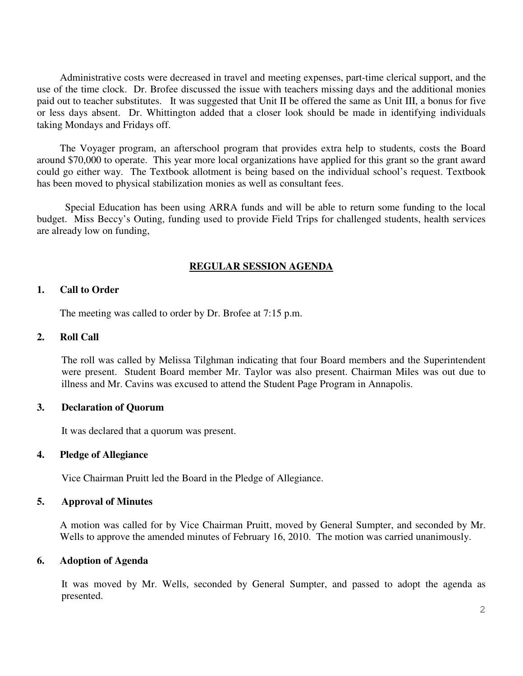Administrative costs were decreased in travel and meeting expenses, part-time clerical support, and the use of the time clock. Dr. Brofee discussed the issue with teachers missing days and the additional monies paid out to teacher substitutes. It was suggested that Unit II be offered the same as Unit III, a bonus for five or less days absent. Dr. Whittington added that a closer look should be made in identifying individuals taking Mondays and Fridays off.

 The Voyager program, an afterschool program that provides extra help to students, costs the Board around \$70,000 to operate. This year more local organizations have applied for this grant so the grant award could go either way. The Textbook allotment is being based on the individual school's request. Textbook has been moved to physical stabilization monies as well as consultant fees.

 Special Education has been using ARRA funds and will be able to return some funding to the local budget. Miss Beccy's Outing, funding used to provide Field Trips for challenged students, health services are already low on funding,

### **REGULAR SESSION AGENDA**

#### **1. Call to Order**

The meeting was called to order by Dr. Brofee at 7:15 p.m.

#### **2. Roll Call**

The roll was called by Melissa Tilghman indicating that four Board members and the Superintendent were present. Student Board member Mr. Taylor was also present. Chairman Miles was out due to illness and Mr. Cavins was excused to attend the Student Page Program in Annapolis.

#### **3. Declaration of Quorum**

It was declared that a quorum was present.

#### **4. Pledge of Allegiance**

Vice Chairman Pruitt led the Board in the Pledge of Allegiance.

#### **5. Approval of Minutes**

A motion was called for by Vice Chairman Pruitt, moved by General Sumpter, and seconded by Mr. Wells to approve the amended minutes of February 16, 2010. The motion was carried unanimously.

#### **6. Adoption of Agenda**

 It was moved by Mr. Wells, seconded by General Sumpter, and passed to adopt the agenda as presented.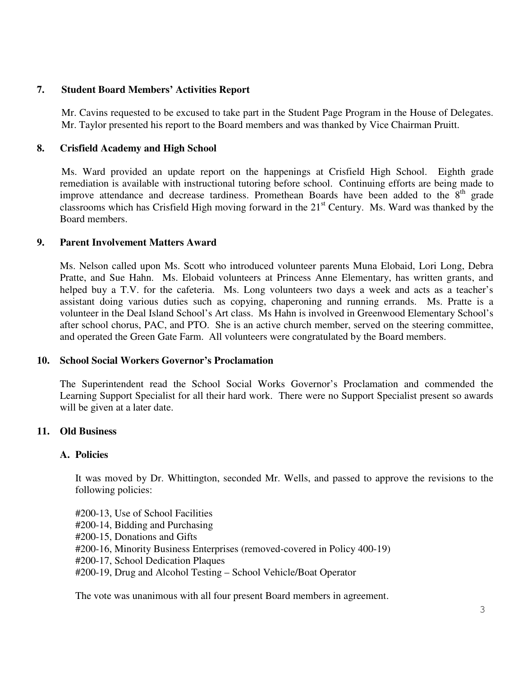# **7. Student Board Members' Activities Report**

Mr. Cavins requested to be excused to take part in the Student Page Program in the House of Delegates. Mr. Taylor presented his report to the Board members and was thanked by Vice Chairman Pruitt.

# **8. Crisfield Academy and High School**

 Ms. Ward provided an update report on the happenings at Crisfield High School. Eighth grade remediation is available with instructional tutoring before school. Continuing efforts are being made to improve attendance and decrease tardiness. Promethean Boards have been added to the  $8<sup>th</sup>$  grade classrooms which has Crisfield High moving forward in the  $21<sup>st</sup>$  Century. Ms. Ward was thanked by the Board members.

### **9. Parent Involvement Matters Award**

Ms. Nelson called upon Ms. Scott who introduced volunteer parents Muna Elobaid, Lori Long, Debra Pratte, and Sue Hahn. Ms. Elobaid volunteers at Princess Anne Elementary, has written grants, and helped buy a T.V. for the cafeteria. Ms. Long volunteers two days a week and acts as a teacher's assistant doing various duties such as copying, chaperoning and running errands. Ms. Pratte is a volunteer in the Deal Island School's Art class. Ms Hahn is involved in Greenwood Elementary School's after school chorus, PAC, and PTO. She is an active church member, served on the steering committee, and operated the Green Gate Farm. All volunteers were congratulated by the Board members.

### **10. School Social Workers Governor's Proclamation**

The Superintendent read the School Social Works Governor's Proclamation and commended the Learning Support Specialist for all their hard work. There were no Support Specialist present so awards will be given at a later date.

# **11. Old Business**

### **A. Policies**

It was moved by Dr. Whittington, seconded Mr. Wells, and passed to approve the revisions to the following policies:

#200-13, Use of School Facilities #200-14, Bidding and Purchasing #200-15, Donations and Gifts #200-16, Minority Business Enterprises (removed-covered in Policy 400-19) #200-17, School Dedication Plaques #200-19, Drug and Alcohol Testing – School Vehicle/Boat Operator

The vote was unanimous with all four present Board members in agreement.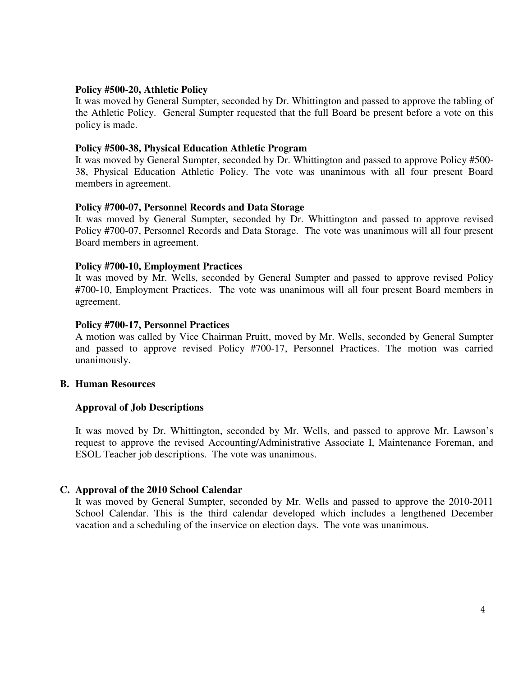#### **Policy #500-20, Athletic Policy**

It was moved by General Sumpter, seconded by Dr. Whittington and passed to approve the tabling of the Athletic Policy. General Sumpter requested that the full Board be present before a vote on this policy is made.

#### **Policy #500-38, Physical Education Athletic Program**

It was moved by General Sumpter, seconded by Dr. Whittington and passed to approve Policy #500- 38, Physical Education Athletic Policy. The vote was unanimous with all four present Board members in agreement.

#### **Policy #700-07, Personnel Records and Data Storage**

It was moved by General Sumpter, seconded by Dr. Whittington and passed to approve revised Policy #700-07, Personnel Records and Data Storage. The vote was unanimous will all four present Board members in agreement.

#### **Policy #700-10, Employment Practices**

It was moved by Mr. Wells, seconded by General Sumpter and passed to approve revised Policy #700-10, Employment Practices. The vote was unanimous will all four present Board members in agreement.

#### **Policy #700-17, Personnel Practices**

A motion was called by Vice Chairman Pruitt, moved by Mr. Wells, seconded by General Sumpter and passed to approve revised Policy #700-17, Personnel Practices. The motion was carried unanimously.

#### **B. Human Resources**

### **Approval of Job Descriptions**

It was moved by Dr. Whittington, seconded by Mr. Wells, and passed to approve Mr. Lawson's request to approve the revised Accounting/Administrative Associate I, Maintenance Foreman, and ESOL Teacher job descriptions. The vote was unanimous.

### **C. Approval of the 2010 School Calendar**

It was moved by General Sumpter, seconded by Mr. Wells and passed to approve the 2010-2011 School Calendar. This is the third calendar developed which includes a lengthened December vacation and a scheduling of the inservice on election days. The vote was unanimous.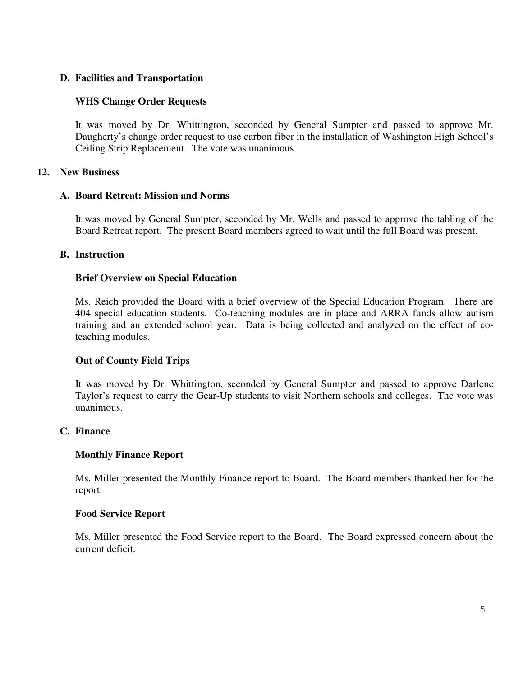# **D. Facilities and Transportation**

# **WHS Change Order Requests**

It was moved by Dr. Whittington, seconded by General Sumpter and passed to approve Mr. Daugherty's change order request to use carbon fiber in the installation of Washington High School's Ceiling Strip Replacement. The vote was unanimous.

### **12. New Business**

### **A. Board Retreat: Mission and Norms**

It was moved by General Sumpter, seconded by Mr. Wells and passed to approve the tabling of the Board Retreat report. The present Board members agreed to wait until the full Board was present.

# **B. Instruction**

# **Brief Overview on Special Education**

Ms. Reich provided the Board with a brief overview of the Special Education Program. There are 404 special education students. Co-teaching modules are in place and ARRA funds allow autism training and an extended school year. Data is being collected and analyzed on the effect of coteaching modules.

# **Out of County Field Trips**

It was moved by Dr. Whittington, seconded by General Sumpter and passed to approve Darlene Taylor's request to carry the Gear-Up students to visit Northern schools and colleges. The vote was unanimous.

### **C. Finance**

# **Monthly Finance Report**

Ms. Miller presented the Monthly Finance report to Board. The Board members thanked her for the report.

### **Food Service Report**

Ms. Miller presented the Food Service report to the Board. The Board expressed concern about the current deficit.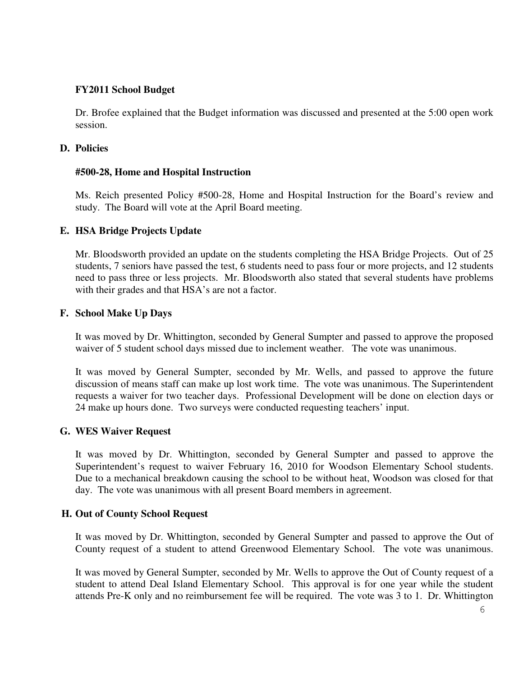# **FY2011 School Budget**

Dr. Brofee explained that the Budget information was discussed and presented at the 5:00 open work session.

### **D. Policies**

### **#500-28, Home and Hospital Instruction**

Ms. Reich presented Policy #500-28, Home and Hospital Instruction for the Board's review and study. The Board will vote at the April Board meeting.

# **E. HSA Bridge Projects Update**

Mr. Bloodsworth provided an update on the students completing the HSA Bridge Projects. Out of 25 students, 7 seniors have passed the test, 6 students need to pass four or more projects, and 12 students need to pass three or less projects. Mr. Bloodsworth also stated that several students have problems with their grades and that HSA's are not a factor.

# **F. School Make Up Days**

It was moved by Dr. Whittington, seconded by General Sumpter and passed to approve the proposed waiver of 5 student school days missed due to inclement weather. The vote was unanimous.

It was moved by General Sumpter, seconded by Mr. Wells, and passed to approve the future discussion of means staff can make up lost work time. The vote was unanimous. The Superintendent requests a waiver for two teacher days. Professional Development will be done on election days or 24 make up hours done. Two surveys were conducted requesting teachers' input.

### **G. WES Waiver Request**

It was moved by Dr. Whittington, seconded by General Sumpter and passed to approve the Superintendent's request to waiver February 16, 2010 for Woodson Elementary School students. Due to a mechanical breakdown causing the school to be without heat, Woodson was closed for that day. The vote was unanimous with all present Board members in agreement.

### **H. Out of County School Request**

It was moved by Dr. Whittington, seconded by General Sumpter and passed to approve the Out of County request of a student to attend Greenwood Elementary School. The vote was unanimous.

It was moved by General Sumpter, seconded by Mr. Wells to approve the Out of County request of a student to attend Deal Island Elementary School. This approval is for one year while the student attends Pre-K only and no reimbursement fee will be required. The vote was 3 to 1. Dr. Whittington